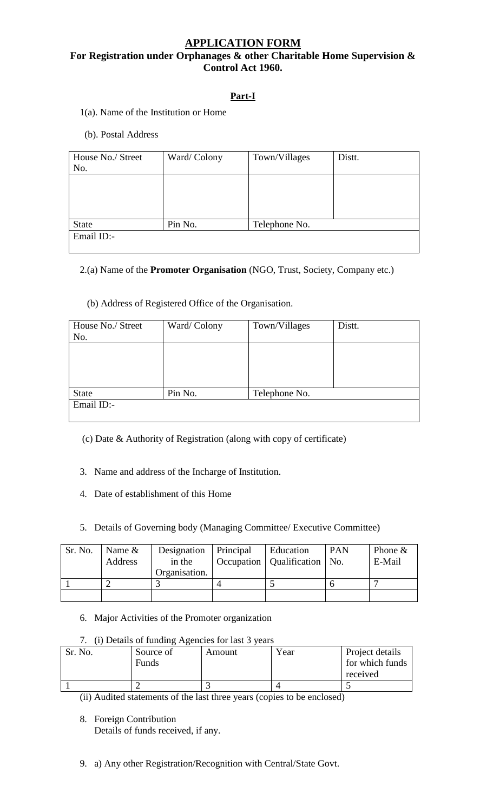# **APPLICATION FORM**

# **For Registration under Orphanages & other Charitable Home Supervision & Control Act 1960.**

# **Part-I**

- 1(a). Name of the Institution or Home
- (b). Postal Address

| House No./ Street<br>No. | Ward/Colony | Town/Villages | Distt. |
|--------------------------|-------------|---------------|--------|
|                          |             |               |        |
|                          |             |               |        |
| <b>State</b>             | Pin No.     | Telephone No. |        |
| Email ID:-               |             |               |        |

2.(a) Name of the **Promoter Organisation** (NGO, Trust, Society, Company etc.)

## (b) Address of Registered Office of the Organisation.

| House No./ Street | Ward/Colony | Town/Villages | Distt. |
|-------------------|-------------|---------------|--------|
| No.               |             |               |        |
|                   |             |               |        |
|                   |             |               |        |
|                   |             |               |        |
|                   |             |               |        |
| <b>State</b>      | Pin No.     | Telephone No. |        |
| Email ID:-        |             |               |        |
|                   |             |               |        |

(c) Date & Authority of Registration (along with copy of certificate)

- 3. Name and address of the Incharge of Institution.
- 4. Date of establishment of this Home

# 5. Details of Governing body (Managing Committee/ Executive Committee)

| Sr. No. | Name $\&$ | Designation   Principal | <b>Education</b>                 | <b>PAN</b> | Phone $\&$ |
|---------|-----------|-------------------------|----------------------------------|------------|------------|
|         | Address   | in the                  | Occupation   Qualification   No. |            | E-Mail     |
|         |           | Organisation.           |                                  |            |            |
|         |           |                         |                                  |            |            |
|         |           |                         |                                  |            |            |

## 6. Major Activities of the Promoter organization

# 7. (i) Details of funding Agencies for last 3 years

| Sr. No. | Source of<br>Funds | Amount | Year | Project details<br>for which funds<br>received |
|---------|--------------------|--------|------|------------------------------------------------|
|         |                    |        |      |                                                |
|         | _ _ _              |        |      |                                                |

(ii) Audited statements of the last three years (copies to be enclosed)

8. Foreign Contribution Details of funds received, if any.

9. a) Any other Registration/Recognition with Central/State Govt.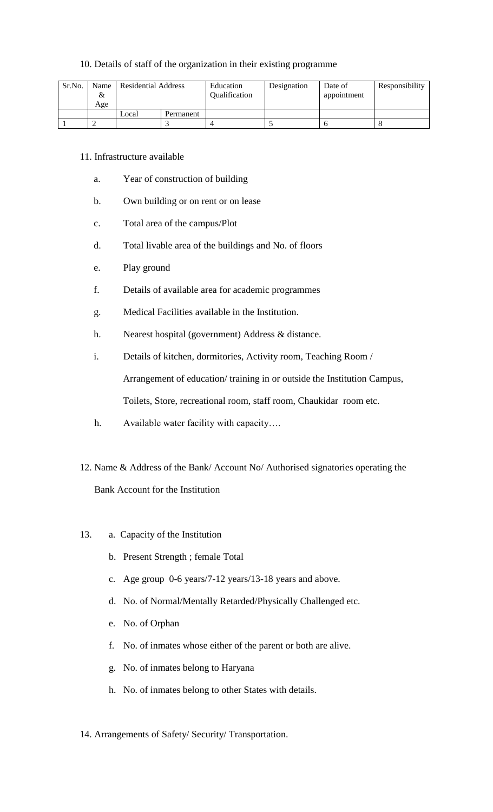#### 10. Details of staff of the organization in their existing programme

| Sr.No. | Name<br>&<br>Age | Residential Address |  | Education<br>Qualification | Designation | Date of<br>appointment | Responsibility |
|--------|------------------|---------------------|--|----------------------------|-------------|------------------------|----------------|
|        |                  | Local<br>Permanent  |  |                            |             |                        |                |
|        |                  |                     |  |                            |             |                        |                |

- 11. Infrastructure available
	- a. Year of construction of building
	- b. Own building or on rent or on lease
	- c. Total area of the campus/Plot
	- d. Total livable area of the buildings and No. of floors
	- e. Play ground
	- f. Details of available area for academic programmes
	- g. Medical Facilities available in the Institution.
	- h. Nearest hospital (government) Address & distance.
	- i. Details of kitchen, dormitories, Activity room, Teaching Room / Arrangement of education/ training in or outside the Institution Campus, Toilets, Store, recreational room, staff room, Chaukidar room etc.
	- h. Available water facility with capacity....
- 12. Name & Address of the Bank/ Account No/ Authorised signatories operating the Bank Account for the Institution
- 13. a. Capacity of the Institution
	- b. Present Strength ; female Total
	- c. Age group 0-6 years/7-12 years/13-18 years and above.
	- d. No. of Normal/Mentally Retarded/Physically Challenged etc.
	- e. No. of Orphan
	- f. No. of inmates whose either of the parent or both are alive.
	- g. No. of inmates belong to Haryana
	- h. No. of inmates belong to other States with details.
- 14. Arrangements of Safety/ Security/ Transportation.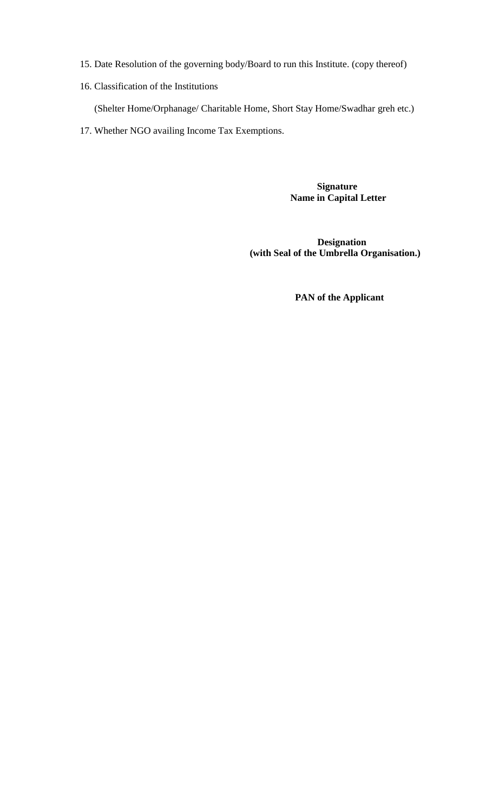- 15. Date Resolution of the governing body/Board to run this Institute. (copy thereof)
- 16. Classification of the Institutions

(Shelter Home/Orphanage/ Charitable Home, Short Stay Home/Swadhar greh etc.)

17. Whether NGO availing Income Tax Exemptions.

 **Signature Name in Capital Letter** 

 **Designation (with Seal of the Umbrella Organisation.)** 

 **PAN of the Applicant**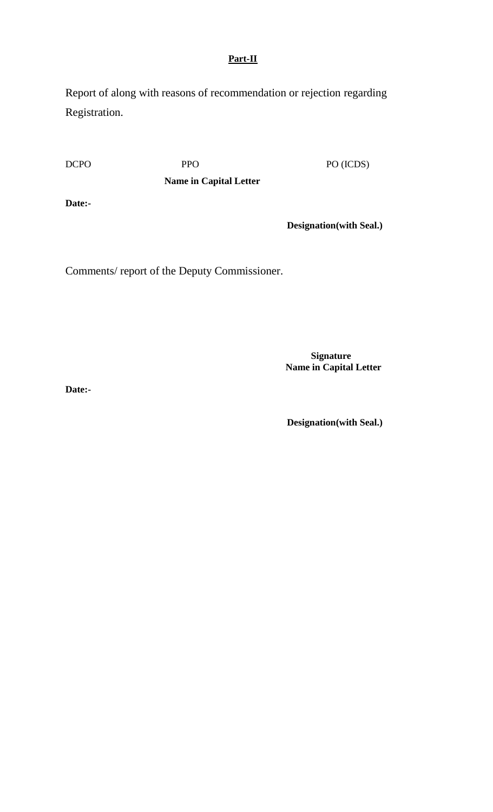# **Part-II**

Report of along with reasons of recommendation or rejection regarding Registration.

DCPO PPO PO (ICDS)

**Name in Capital Letter** 

**Date:-**

 **Designation(with Seal.)**

Comments/ report of the Deputy Commissioner.

 **Signature Name in Capital Letter** 

**Date:-**

 **Designation(with Seal.)**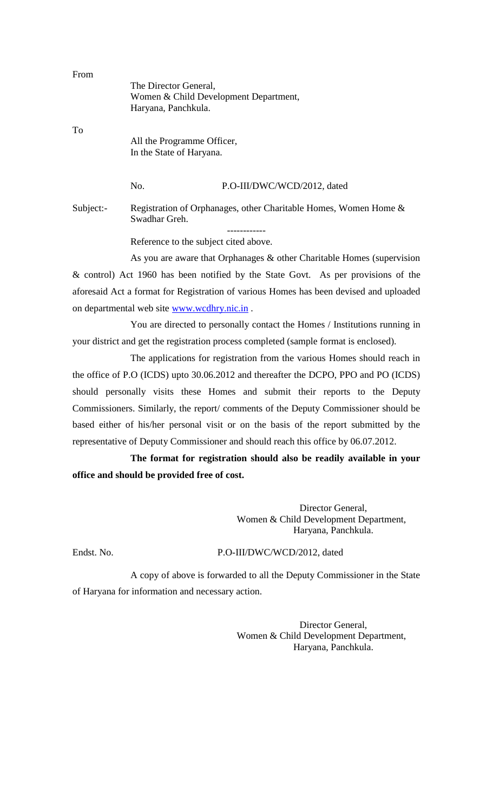| From |                            |                                       |
|------|----------------------------|---------------------------------------|
|      | The Director General,      |                                       |
|      |                            | Women & Child Development Department, |
|      | Haryana, Panchkula.        |                                       |
| To   |                            |                                       |
|      | All the Programme Officer, |                                       |
|      | In the State of Haryana.   |                                       |
|      |                            |                                       |
|      | No.                        | P.O-III/DWC/WCD/2012, dated           |
|      |                            |                                       |

Subject:- Registration of Orphanages, other Charitable Homes, Women Home & Swadhar Greh. ------------

Reference to the subject cited above.

As you are aware that Orphanages & other Charitable Homes (supervision & control) Act 1960 has been notified by the State Govt. As per provisions of the aforesaid Act a format for Registration of various Homes has been devised and uploaded on departmental web site [www.wcdhry.nic.in](http://www.wcd@hyr.nic.in/) .

You are directed to personally contact the Homes / Institutions running in your district and get the registration process completed (sample format is enclosed).

The applications for registration from the various Homes should reach in the office of P.O (ICDS) upto 30.06.2012 and thereafter the DCPO, PPO and PO (ICDS) should personally visits these Homes and submit their reports to the Deputy Commissioners. Similarly, the report/ comments of the Deputy Commissioner should be based either of his/her personal visit or on the basis of the report submitted by the representative of Deputy Commissioner and should reach this office by 06.07.2012.

**The format for registration should also be readily available in your office and should be provided free of cost.**

> Director General, Women & Child Development Department, Haryana, Panchkula.

#### Endst. No. P.O-III/DWC/WCD/2012, dated

A copy of above is forwarded to all the Deputy Commissioner in the State of Haryana for information and necessary action.

> Director General, Women & Child Development Department, Haryana, Panchkula.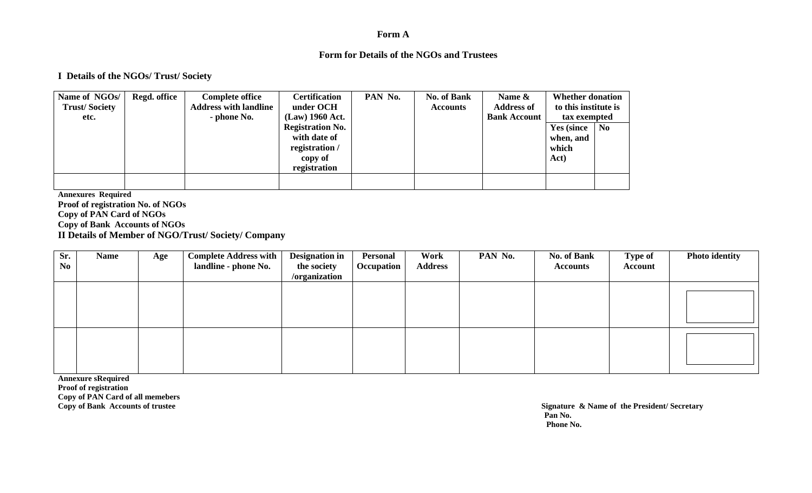#### **Form A**

#### **Form for Details of the NGOs and Trustees**

#### **I Details of the NGOs/ Trust/ Society**

| Name of NGOs/        | Regd. office | <b>Complete office</b>       | <b>Certification</b>    | PAN No. | <b>No. of Bank</b> | Name &              | <b>Whether donation</b> |                |
|----------------------|--------------|------------------------------|-------------------------|---------|--------------------|---------------------|-------------------------|----------------|
| <b>Trust/Society</b> |              | <b>Address with landline</b> | under OCH               |         | <b>Accounts</b>    | <b>Address of</b>   | to this institute is    |                |
| etc.                 |              | - phone No.                  | $(Law)$ 1960 Act.       |         |                    | <b>Bank Account</b> | tax exempted            |                |
|                      |              |                              | <b>Registration No.</b> |         |                    |                     | <b>Yes (since)</b>      | N <sub>0</sub> |
|                      |              |                              | with date of            |         |                    |                     | when, and               |                |
|                      |              |                              | registration /          |         |                    |                     | which                   |                |
|                      |              |                              | copy of                 |         |                    |                     | Act)                    |                |
|                      |              |                              | registration            |         |                    |                     |                         |                |
|                      |              |                              |                         |         |                    |                     |                         |                |
|                      |              |                              |                         |         |                    |                     |                         |                |

**Annexures Required Proof of registration No. of NGOs Copy of PAN Card of NGOs Copy of Bank Accounts of NGOs II Details of Member of NGO/Trust/ Society/ Company**

| Sr.<br>N <sub>0</sub> | <b>Name</b> | Age | <b>Complete Address with</b><br>landline - phone No. | <b>Designation in</b><br>the society<br>/organization | <b>Personal</b><br>Occupation | Work<br><b>Address</b> | PAN No. | <b>No. of Bank</b><br><b>Accounts</b> | <b>Type of</b><br>Account | <b>Photo identity</b> |
|-----------------------|-------------|-----|------------------------------------------------------|-------------------------------------------------------|-------------------------------|------------------------|---------|---------------------------------------|---------------------------|-----------------------|
|                       |             |     |                                                      |                                                       |                               |                        |         |                                       |                           |                       |
|                       |             |     |                                                      |                                                       |                               |                        |         |                                       |                           |                       |

**Annexure sRequired Proof of registration Copy of PAN Card of all memebers**

**Copy of Bank Accounts of trustee Signature & Name of the President/ Secretary Pan No. Phone No.**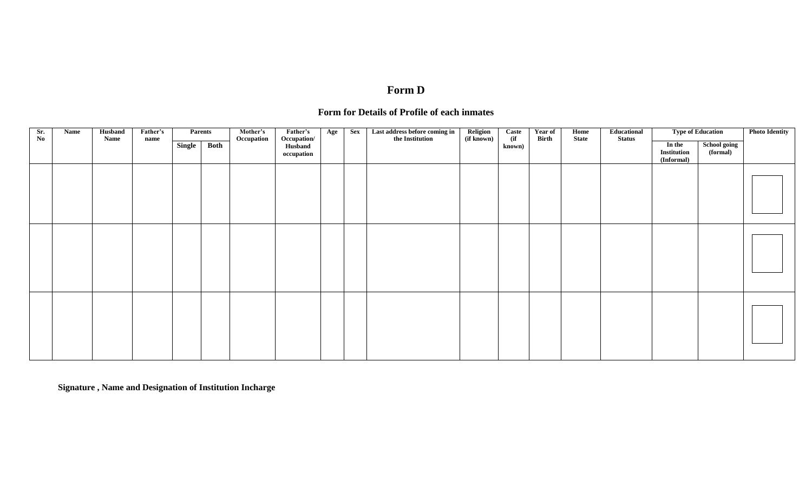# **Form D**

# **Form for Details of Profile of each inmates**

| Sr.<br>No | Name | Husband<br>Name | Father's<br>name |                            | <b>Parents</b> | Mother's<br>Occupation | Father's<br>Occupation/ | Age | <b>Sex</b> | Last address before coming in<br>the Institution | Religion<br>(if known) | Caste<br>(ii) | Year of<br><b>Birth</b> | Home<br><b>State</b> | Educational<br><b>Status</b> |                                            | <b>Type of Education</b>        | <b>Photo Identity</b> |
|-----------|------|-----------------|------------------|----------------------------|----------------|------------------------|-------------------------|-----|------------|--------------------------------------------------|------------------------|---------------|-------------------------|----------------------|------------------------------|--------------------------------------------|---------------------------------|-----------------------|
|           |      |                 |                  | $\overline{\text{Single}}$ | Both           |                        | Husband<br>occupation   |     |            |                                                  |                        | known)        |                         |                      |                              | In the<br><b>Institution</b><br>(Informal) | <b>School going</b><br>(formal) |                       |
|           |      |                 |                  |                            |                |                        |                         |     |            |                                                  |                        |               |                         |                      |                              |                                            |                                 |                       |
|           |      |                 |                  |                            |                |                        |                         |     |            |                                                  |                        |               |                         |                      |                              |                                            |                                 |                       |
|           |      |                 |                  |                            |                |                        |                         |     |            |                                                  |                        |               |                         |                      |                              |                                            |                                 |                       |

**Signature , Name and Designation of Institution Incharge**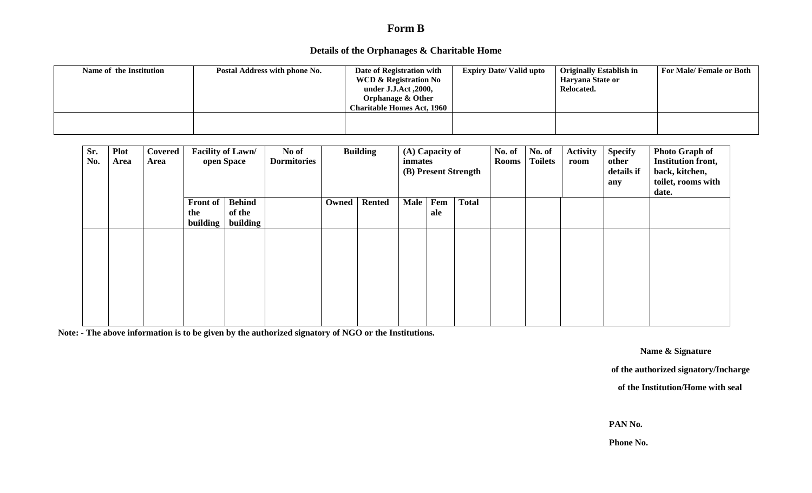# **Form B**

## **Details of the Orphanages & Charitable Home**

| Name of the Institution | Postal Address with phone No. | Date of Registration with         | <b>Expiry Date/Valid upto</b> | <b>Originally Establish in</b> | For Male/Female or Both |
|-------------------------|-------------------------------|-----------------------------------|-------------------------------|--------------------------------|-------------------------|
|                         |                               | <b>WCD &amp; Registration No</b>  |                               | Haryana State or               |                         |
|                         |                               | under J.J.Act , 2000,             |                               | Relocated.                     |                         |
|                         |                               | <b>Orphanage &amp; Other</b>      |                               |                                |                         |
|                         |                               | <b>Charitable Homes Act, 1960</b> |                               |                                |                         |
|                         |                               |                                   |                               |                                |                         |
|                         |                               |                                   |                               |                                |                         |
|                         |                               |                                   |                               |                                |                         |

| Sr.<br>No. | <b>Plot</b><br>Area | Covered<br>Area |                 | Facility of Lawn/<br>open Space | No of<br><b>Dormitories</b> |       | <b>Building</b> | inmates | (A) Capacity of | (B) Present Strength | No. of<br><b>Rooms</b> | No. of<br><b>Toilets</b> | <b>Activity</b><br>room | <b>Specify</b><br>other<br>details if<br>any | <b>Photo Graph of</b><br><b>Institution front,</b><br>back, kitchen,<br>toilet, rooms with<br>date. |
|------------|---------------------|-----------------|-----------------|---------------------------------|-----------------------------|-------|-----------------|---------|-----------------|----------------------|------------------------|--------------------------|-------------------------|----------------------------------------------|-----------------------------------------------------------------------------------------------------|
|            |                     |                 | Front of        | <b>Behind</b>                   |                             | Owned | <b>Rented</b>   | Male    | Fem             | <b>Total</b>         |                        |                          |                         |                                              |                                                                                                     |
|            |                     |                 | the             | of the                          |                             |       |                 |         | ale             |                      |                        |                          |                         |                                              |                                                                                                     |
|            |                     |                 | <b>building</b> | building                        |                             |       |                 |         |                 |                      |                        |                          |                         |                                              |                                                                                                     |
|            |                     |                 |                 |                                 |                             |       |                 |         |                 |                      |                        |                          |                         |                                              |                                                                                                     |
|            |                     |                 |                 |                                 |                             |       |                 |         |                 |                      |                        |                          |                         |                                              |                                                                                                     |
|            |                     |                 |                 |                                 |                             |       |                 |         |                 |                      |                        |                          |                         |                                              |                                                                                                     |
|            |                     |                 |                 |                                 |                             |       |                 |         |                 |                      |                        |                          |                         |                                              |                                                                                                     |
|            |                     |                 |                 |                                 |                             |       |                 |         |                 |                      |                        |                          |                         |                                              |                                                                                                     |
|            |                     |                 |                 |                                 |                             |       |                 |         |                 |                      |                        |                          |                         |                                              |                                                                                                     |
|            |                     |                 |                 |                                 |                             |       |                 |         |                 |                      |                        |                          |                         |                                              |                                                                                                     |
|            |                     |                 |                 |                                 |                             |       |                 |         |                 |                      |                        |                          |                         |                                              |                                                                                                     |
|            |                     |                 |                 |                                 |                             |       |                 |         |                 |                      |                        |                          |                         |                                              |                                                                                                     |

**Note: - The above information is to be given by the authorized signatory of NGO or the Institutions.** 

 **Name & Signature**

**of the authorized signatory/Incharge**

 **of the Institution/Home with seal**

**PAN No.**

**Phone No.**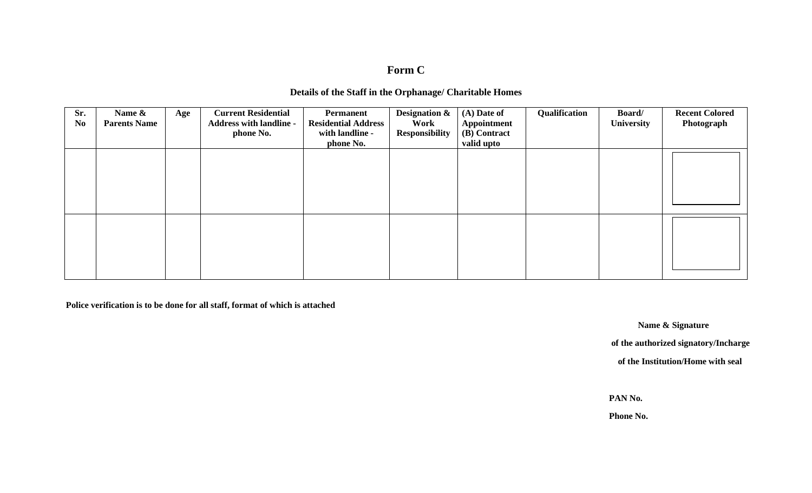# **Form C**

## **Details of the Staff in the Orphanage/ Charitable Homes**

| Sr.<br>N <sub>0</sub> | Name &<br><b>Parents Name</b> | Age | <b>Current Residential</b><br><b>Address with landline -</b><br>phone No. | Permanent<br><b>Residential Address</b><br>with landline -<br>phone No. | <b>Designation &amp;</b><br>Work<br><b>Responsibility</b> | $(A)$ Date of<br><b>Appointment</b><br>(B) Contract<br>valid upto | Qualification | Board/<br><b>University</b> | <b>Recent Colored</b><br>Photograph |
|-----------------------|-------------------------------|-----|---------------------------------------------------------------------------|-------------------------------------------------------------------------|-----------------------------------------------------------|-------------------------------------------------------------------|---------------|-----------------------------|-------------------------------------|
|                       |                               |     |                                                                           |                                                                         |                                                           |                                                                   |               |                             |                                     |
|                       |                               |     |                                                                           |                                                                         |                                                           |                                                                   |               |                             |                                     |

 **Police verification is to be done for all staff, format of which is attached** 

**Name & Signature**

**of the authorized signatory/Incharge**

 **of the Institution/Home with seal**

**PAN No.**

**Phone No.**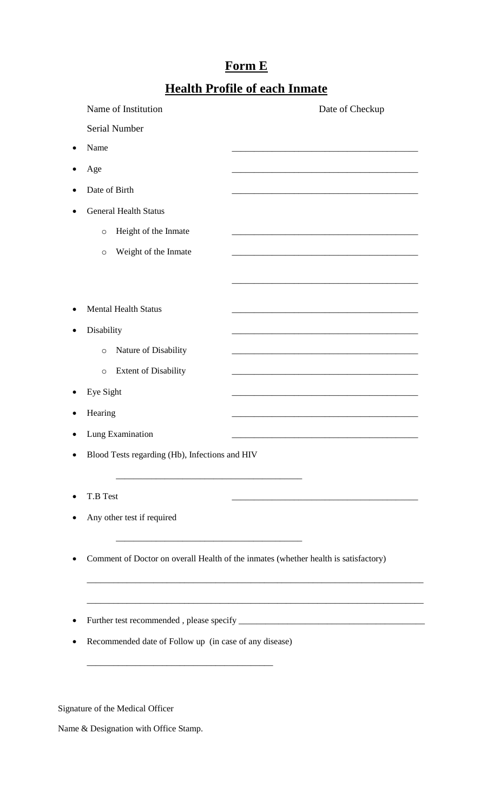# **Form E**

# **Health Profile of each Inmate**

| Name of Institution                                    | Date of Checkup                                                                                                      |  |  |
|--------------------------------------------------------|----------------------------------------------------------------------------------------------------------------------|--|--|
| Serial Number                                          |                                                                                                                      |  |  |
| Name                                                   |                                                                                                                      |  |  |
| Age                                                    |                                                                                                                      |  |  |
| Date of Birth                                          |                                                                                                                      |  |  |
| <b>General Health Status</b>                           |                                                                                                                      |  |  |
| Height of the Inmate<br>$\circ$                        | <u> 1989 - Johann Barn, amerikan bernama di sebagai bernama dan bernama di sebagai bernama dalam bernama dalam b</u> |  |  |
| Weight of the Inmate<br>O                              |                                                                                                                      |  |  |
|                                                        |                                                                                                                      |  |  |
|                                                        |                                                                                                                      |  |  |
| <b>Mental Health Status</b>                            | <u> 1989 - Johann Stoff, Amerikaansk politiker (* 1908)</u>                                                          |  |  |
| Disability                                             |                                                                                                                      |  |  |
| Nature of Disability<br>$\circ$                        |                                                                                                                      |  |  |
| <b>Extent of Disability</b><br>$\circ$                 |                                                                                                                      |  |  |
| Eye Sight                                              |                                                                                                                      |  |  |
| Hearing                                                | <u> 1989 - Jan James James Jan James James James James James James James James James James James James James Jam</u> |  |  |
| Lung Examination                                       |                                                                                                                      |  |  |
| Blood Tests regarding (Hb), Infections and HIV         |                                                                                                                      |  |  |
|                                                        |                                                                                                                      |  |  |
| T.B Test                                               |                                                                                                                      |  |  |
| Any other test if required                             |                                                                                                                      |  |  |
|                                                        |                                                                                                                      |  |  |
|                                                        | Comment of Doctor on overall Health of the inmates (whether health is satisfactory)                                  |  |  |
|                                                        |                                                                                                                      |  |  |
|                                                        |                                                                                                                      |  |  |
|                                                        |                                                                                                                      |  |  |
| Recommended date of Follow up (in case of any disease) |                                                                                                                      |  |  |

Signature of the Medical Officer

Name & Designation with Office Stamp.

\_\_\_\_\_\_\_\_\_\_\_\_\_\_\_\_\_\_\_\_\_\_\_\_\_\_\_\_\_\_\_\_\_\_\_\_\_\_\_\_\_\_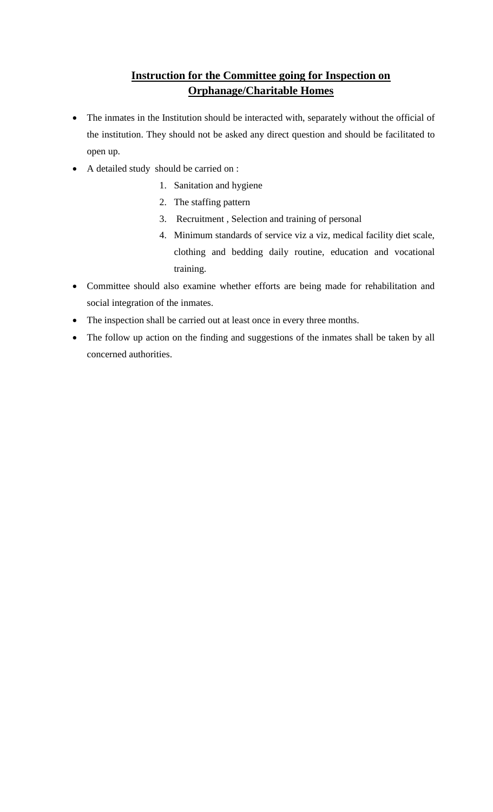# **Instruction for the Committee going for Inspection on Orphanage/Charitable Homes**

- The inmates in the Institution should be interacted with, separately without the official of the institution. They should not be asked any direct question and should be facilitated to open up.
- A detailed study should be carried on :
	- 1. Sanitation and hygiene
	- 2. The staffing pattern
	- 3. Recruitment , Selection and training of personal
	- 4. Minimum standards of service viz a viz, medical facility diet scale, clothing and bedding daily routine, education and vocational training.
- Committee should also examine whether efforts are being made for rehabilitation and social integration of the inmates.
- The inspection shall be carried out at least once in every three months.
- The follow up action on the finding and suggestions of the inmates shall be taken by all concerned authorities.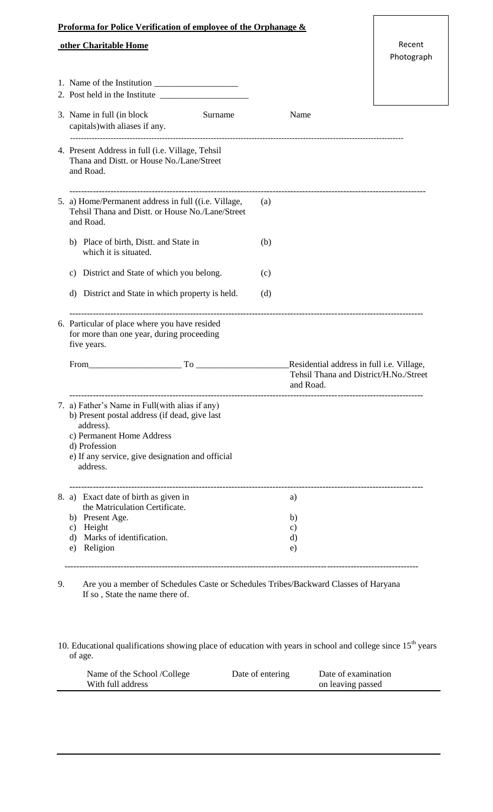|  | <b>Proforma for Police Verification of employee of the Orphanage &amp;</b>                                                                                                                                     |     |                                                     |                      |  |
|--|----------------------------------------------------------------------------------------------------------------------------------------------------------------------------------------------------------------|-----|-----------------------------------------------------|----------------------|--|
|  | other Charitable Home                                                                                                                                                                                          |     |                                                     | Recent<br>Photograph |  |
|  |                                                                                                                                                                                                                |     |                                                     |                      |  |
|  |                                                                                                                                                                                                                |     |                                                     |                      |  |
|  | 3. Name in full (in block)<br>Surname<br>capitals) with aliases if any.                                                                                                                                        |     | Name                                                |                      |  |
|  | 4. Present Address in full (i.e. Village, Tehsil<br>Thana and Distt. or House No./Lane/Street<br>and Road.                                                                                                     |     |                                                     |                      |  |
|  | 5. a) Home/Permanent address in full ((i.e. Village,<br>Tehsil Thana and Distt. or House No./Lane/Street<br>and Road.                                                                                          | (a) |                                                     |                      |  |
|  | b) Place of birth, Distt. and State in<br>which it is situated.                                                                                                                                                | (b) |                                                     |                      |  |
|  | c) District and State of which you belong.                                                                                                                                                                     | (c) |                                                     |                      |  |
|  | d) District and State in which property is held.                                                                                                                                                               | (d) |                                                     |                      |  |
|  | 6. Particular of place where you have resided<br>for more than one year, during proceeding<br>five years.                                                                                                      |     |                                                     |                      |  |
|  | $From$ $To$ $To$                                                                                                                                                                                               |     | Residential address in full i.e. Village,           |                      |  |
|  |                                                                                                                                                                                                                |     | Tehsil Thana and District/H.No./Street<br>and Road. |                      |  |
|  | 7. a) Father's Name in Full(with alias if any)<br>b) Present postal address (if dead, give last<br>address).<br>c) Permanent Home Address<br>d) Profession<br>e) If any service, give designation and official |     |                                                     |                      |  |
|  | address.                                                                                                                                                                                                       |     |                                                     |                      |  |
|  | 8. a) Exact date of birth as given in<br>the Matriculation Certificate.                                                                                                                                        |     | a)                                                  |                      |  |
|  | b) Present Age.                                                                                                                                                                                                |     | b)                                                  |                      |  |
|  | c) Height<br>Marks of identification.<br>d)                                                                                                                                                                    |     | $\mathbf{c})$<br>d)                                 |                      |  |
|  | Religion<br>e)                                                                                                                                                                                                 |     | e)                                                  |                      |  |
|  |                                                                                                                                                                                                                |     |                                                     |                      |  |

9. Are you a member of Schedules Caste or Schedules Tribes/Backward Classes of Haryana If so , State the name there of.

10. Educational qualifications showing place of education with years in school and college since  $15<sup>th</sup>$  years of age.

| Name of the School /College | Date of entering | Date of examination |  |
|-----------------------------|------------------|---------------------|--|
| With full address           |                  | on leaving passed   |  |